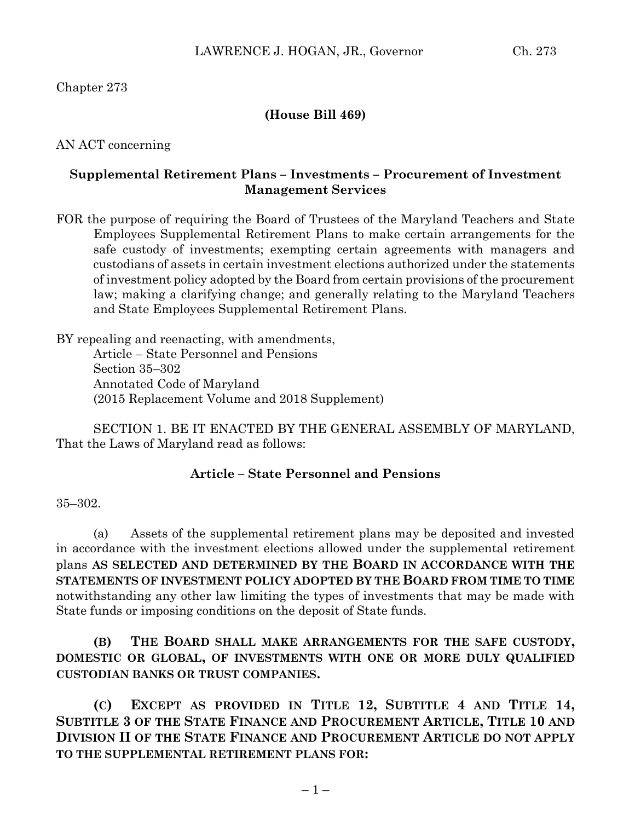## Chapter 273

### **(House Bill 469)**

### AN ACT concerning

### **Supplemental Retirement Plans – Investments – Procurement of Investment Management Services**

FOR the purpose of requiring the Board of Trustees of the Maryland Teachers and State Employees Supplemental Retirement Plans to make certain arrangements for the safe custody of investments; exempting certain agreements with managers and custodians of assets in certain investment elections authorized under the statements of investment policy adopted by the Board from certain provisions of the procurement law; making a clarifying change; and generally relating to the Maryland Teachers and State Employees Supplemental Retirement Plans.

BY repealing and reenacting, with amendments, Article – State Personnel and Pensions Section 35–302 Annotated Code of Maryland (2015 Replacement Volume and 2018 Supplement)

SECTION 1. BE IT ENACTED BY THE GENERAL ASSEMBLY OF MARYLAND, That the Laws of Maryland read as follows:

#### **Article – State Personnel and Pensions**

#### 35–302.

(a) Assets of the supplemental retirement plans may be deposited and invested in accordance with the investment elections allowed under the supplemental retirement plans **AS SELECTED AND DETERMINED BY THE BOARD IN ACCORDANCE WITH THE STATEMENTS OF INVESTMENT POLICY ADOPTED BY THE BOARD FROM TIME TO TIME** notwithstanding any other law limiting the types of investments that may be made with State funds or imposing conditions on the deposit of State funds.

**(B) THE BOARD SHALL MAKE ARRANGEMENTS FOR THE SAFE CUSTODY, DOMESTIC OR GLOBAL, OF INVESTMENTS WITH ONE OR MORE DULY QUALIFIED CUSTODIAN BANKS OR TRUST COMPANIES.**

**(C) EXCEPT AS PROVIDED IN TITLE 12, SUBTITLE 4 AND TITLE 14, SUBTITLE 3 OF THE STATE FINANCE AND PROCUREMENT ARTICLE, TITLE 10 AND DIVISION II OF THE STATE FINANCE AND PROCUREMENT ARTICLE DO NOT APPLY TO THE SUPPLEMENTAL RETIREMENT PLANS FOR:**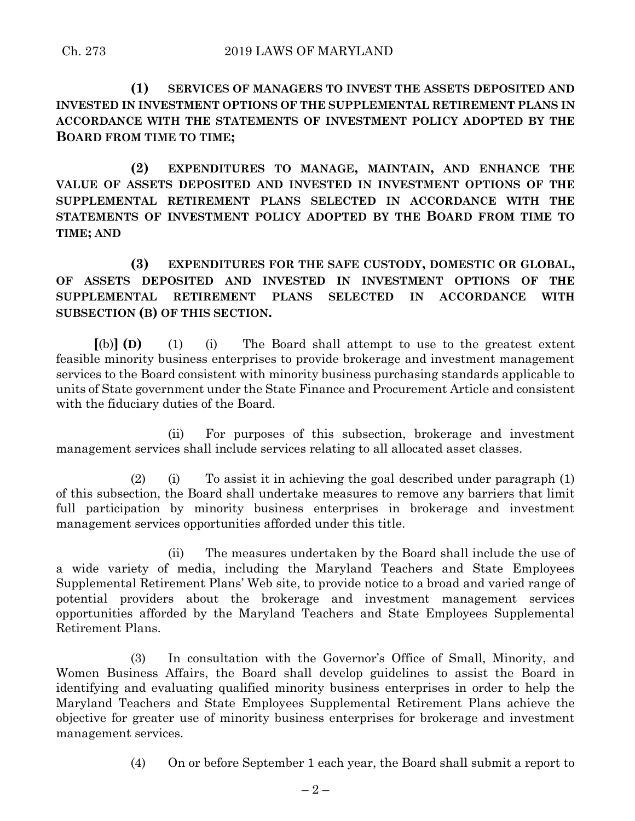**(1) SERVICES OF MANAGERS TO INVEST THE ASSETS DEPOSITED AND INVESTED IN INVESTMENT OPTIONS OF THE SUPPLEMENTAL RETIREMENT PLANS IN ACCORDANCE WITH THE STATEMENTS OF INVESTMENT POLICY ADOPTED BY THE BOARD FROM TIME TO TIME;**

**(2) EXPENDITURES TO MANAGE, MAINTAIN, AND ENHANCE THE VALUE OF ASSETS DEPOSITED AND INVESTED IN INVESTMENT OPTIONS OF THE SUPPLEMENTAL RETIREMENT PLANS SELECTED IN ACCORDANCE WITH THE STATEMENTS OF INVESTMENT POLICY ADOPTED BY THE BOARD FROM TIME TO TIME; AND**

**(3) EXPENDITURES FOR THE SAFE CUSTODY, DOMESTIC OR GLOBAL, OF ASSETS DEPOSITED AND INVESTED IN INVESTMENT OPTIONS OF THE SUPPLEMENTAL RETIREMENT PLANS SELECTED IN ACCORDANCE WITH SUBSECTION (B) OF THIS SECTION.**

**[**(b)**] (D)** (1) (i) The Board shall attempt to use to the greatest extent feasible minority business enterprises to provide brokerage and investment management services to the Board consistent with minority business purchasing standards applicable to units of State government under the State Finance and Procurement Article and consistent with the fiduciary duties of the Board.

(ii) For purposes of this subsection, brokerage and investment management services shall include services relating to all allocated asset classes.

(2) (i) To assist it in achieving the goal described under paragraph (1) of this subsection, the Board shall undertake measures to remove any barriers that limit full participation by minority business enterprises in brokerage and investment management services opportunities afforded under this title.

(ii) The measures undertaken by the Board shall include the use of a wide variety of media, including the Maryland Teachers and State Employees Supplemental Retirement Plans' Web site, to provide notice to a broad and varied range of potential providers about the brokerage and investment management services opportunities afforded by the Maryland Teachers and State Employees Supplemental Retirement Plans.

(3) In consultation with the Governor's Office of Small, Minority, and Women Business Affairs, the Board shall develop guidelines to assist the Board in identifying and evaluating qualified minority business enterprises in order to help the Maryland Teachers and State Employees Supplemental Retirement Plans achieve the objective for greater use of minority business enterprises for brokerage and investment management services.

(4) On or before September 1 each year, the Board shall submit a report to